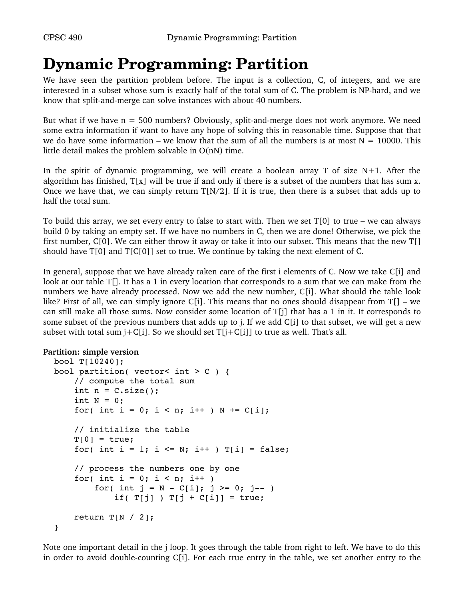# **Dynamic Programming: Partition**

We have seen the partition problem before. The input is a collection, C, of integers, and we are interested in a subset whose sum is exactly half of the total sum of C. The problem is NP-hard, and we know that split-and-merge can solve instances with about 40 numbers.

But what if we have  $n = 500$  numbers? Obviously, split-and-merge does not work anymore. We need some extra information if want to have any hope of solving this in reasonable time. Suppose that that we do have some information – we know that the sum of all the numbers is at most  $N = 10000$ . This little detail makes the problem solvable in O(nN) time.

In the spirit of dynamic programming, we will create a boolean array T of size  $N+1$ . After the algorithm has finished,  $T[x]$  will be true if and only if there is a subset of the numbers that has sum x. Once we have that, we can simply return  $T[N/2]$ . If it is true, then there is a subset that adds up to half the total sum.

To build this array, we set every entry to false to start with. Then we set T[0] to true – we can always build 0 by taking an empty set. If we have no numbers in C, then we are done! Otherwise, we pick the first number, C[0]. We can either throw it away or take it into our subset. This means that the new T[] should have  $T[0]$  and  $T[C[0]]$  set to true. We continue by taking the next element of C.

In general, suppose that we have already taken care of the first i elements of C. Now we take C[i] and look at our table T[]. It has a 1 in every location that corresponds to a sum that we can make from the numbers we have already processed. Now we add the new number, C[i]. What should the table look like? First of all, we can simply ignore C[i]. This means that no ones should disappear from  $T[]$  – we can still make all those sums. Now consider some location of  $T[j]$  that has a 1 in it. It corresponds to some subset of the previous numbers that adds up to j. If we add C[i] to that subset, we will get a new subset with total sum  $j+C[i]$ . So we should set  $T[j+C[i]]$  to true as well. That's all.

### **Partition: simple version**

```
bool T[10240];
bool partition( vector< int > C ) {
        // compute the total sum
    int n = C.size();
    int N = 0;
    for( int i = 0; i < n; i++ ) N += C[i];
        // initialize the table
    T[0] = true;for( int i = 1; i <= N; i++ ) T[i] = false;
        // process the numbers one by one
    for( int i = 0; i < n; i++ )
        for( int j = N - C[i]; j \ge 0; j = -1)
            if( T[j] ) T[j + C[i]] = true;return T[N / 2];
}
```
Note one important detail in the j loop. It goes through the table from right to left. We have to do this in order to avoid double-counting C[i]. For each true entry in the table, we set another entry to the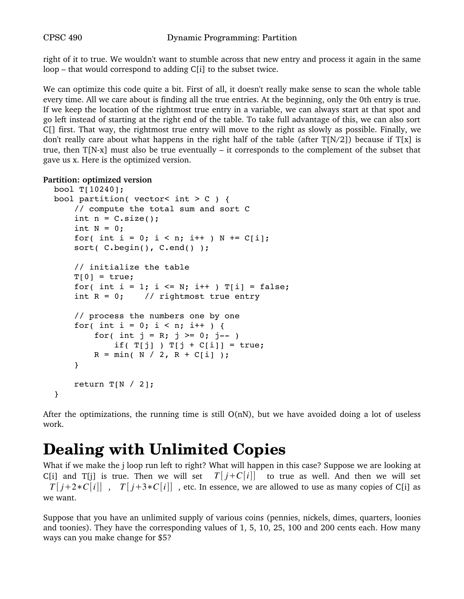right of it to true. We wouldn't want to stumble across that new entry and process it again in the same loop – that would correspond to adding C[i] to the subset twice.

We can optimize this code quite a bit. First of all, it doesn't really make sense to scan the whole table every time. All we care about is finding all the true entries. At the beginning, only the 0th entry is true. If we keep the location of the rightmost true entry in a variable, we can always start at that spot and go left instead of starting at the right end of the table. To take full advantage of this, we can also sort C[] first. That way, the rightmost true entry will move to the right as slowly as possible. Finally, we don't really care about what happens in the right half of the table (after  $T[N/2]$ ) because if  $T[x]$  is true, then  $T[N-x]$  must also be true eventually – it corresponds to the complement of the subset that gave us x. Here is the optimized version.

#### **Partition: optimized version**

```
bool T[10240];
bool partition( vector< int > C ) {
        // compute the total sum and sort C
    int n = C.size();
    int N = 0;
    for( int i = 0; i < n; i++ ) N += C[i];
    sort( C.begin(), C.end() );
        // initialize the table
    T[0] = true;for( int i = 1; i <= N; i++ ) T[i] = false;
    int R = 0; // rightmost true entry
        // process the numbers one by one
    for( int i = 0; i < n; i++ ) {
        for( int j = R; j \ge 0; j = -1)
            if(T[j]) T[j + C[i]] = true;R = min(M / 2, R + C[i]);
        }
    return T[N / 2];
}
```
After the optimizations, the running time is still  $O(nN)$ , but we have avoided doing a lot of useless work.

# **Dealing with Unlimited Copies**

What if we make the j loop run left to right? What will happen in this case? Suppose we are looking at C[i] and T[j] is true. Then we will set  $T[i+C[i]]$  to true as well. And then we will set *T* [ $i+2*C[i]$ ], *T* [ $i+3*C[i]$ ], etc. In essence, we are allowed to use as many copies of C[i] as we want.

Suppose that you have an unlimited supply of various coins (pennies, nickels, dimes, quarters, loonies and toonies). They have the corresponding values of 1, 5, 10, 25, 100 and 200 cents each. How many ways can you make change for \$5?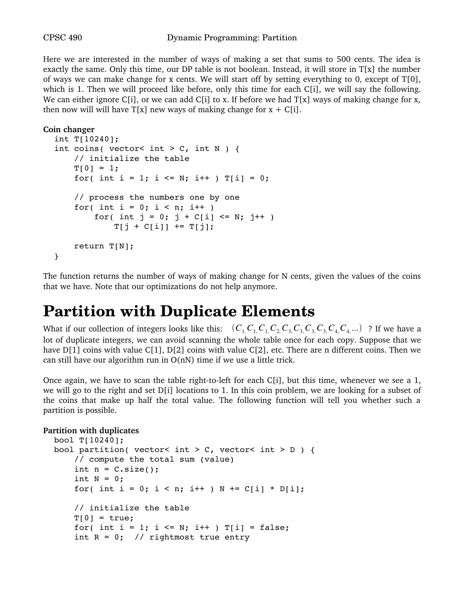Here we are interested in the number of ways of making a set that sums to 500 cents. The idea is exactly the same. Only this time, our DP table is not boolean. Instead, it will store in  $T[x]$  the number of ways we can make change for x cents. We will start off by setting everything to 0, except of T[0], which is 1. Then we will proceed like before, only this time for each C[i], we will say the following. We can either ignore C[i], or we can add C[i] to x. If before we had  $T[x]$  ways of making change for x, then now will will have  $T[x]$  new ways of making change for  $x + C[i]$ .

```
Coin changer
```

```
int T[10240];
int coins( vector< int > C, int N ) {
        // initialize the table
    T[0] = 1;for( int i = 1; i <= N; i++ ) T[i] = 0;
        // process the numbers one by one
    for( int i = 0; i < n; i++ )
        for( int j = 0; j + C[i] \le N; j^{++})
            T[j + C[i]] += T[j];    return T[N];
}
```
The function returns the number of ways of making change for N cents, given the values of the coins that we have. Note that our optimizations do not help anymore.

### **Partition with Duplicate Elements**

What if our collection of integers looks like this:  $(C_1, C_1, C_1, C_2, C_3, C_3, C_3, C_4, C_4, ...)$  ? If we have a lot of duplicate integers, we can avoid scanning the whole table once for each copy. Suppose that we have  $D[1]$  coins with value C[1], D[2] coins with value C[2], etc. There are n different coins. Then we can still have our algorithm run in  $O(nN)$  time if we use a little trick.

Once again, we have to scan the table right-to-left for each  $C[i]$ , but this time, whenever we see a 1, we will go to the right and set D[i] locations to 1. In this coin problem, we are looking for a subset of the coins that make up half the total value. The following function will tell you whether such a partition is possible.

### **Partition with duplicates**

```
bool T[10240];
bool partition( vector< int > C, vector< int > D ) {
        // compute the total sum (value)
    int n = C.size();
    int N = 0;
    for( int i = 0; i < n; i++ ) N += C[i] * D[i];    // initialize the table
    T[0] = true;for( int i = 1; i <= N; i++ ) T[i] = false;
    int R = 0; // rightmost true entry
```